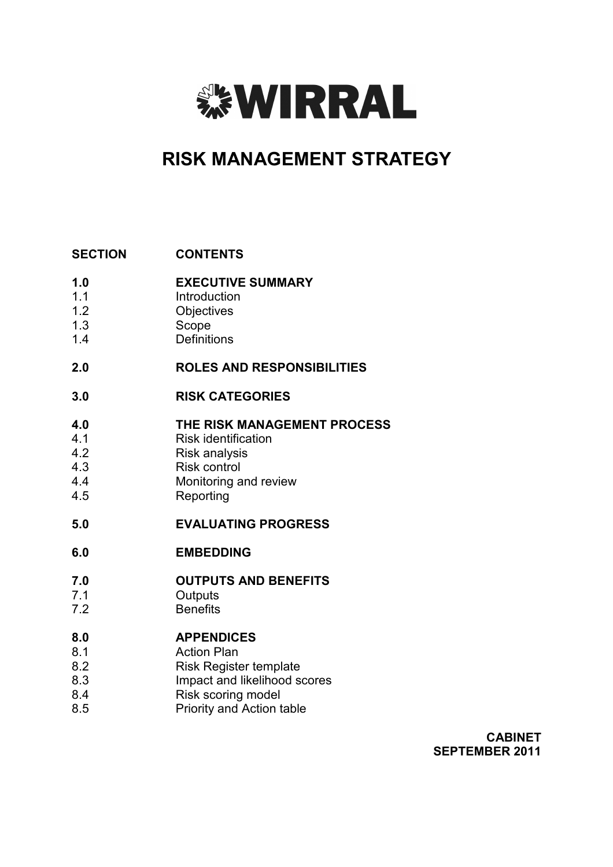

# **RISK MANAGEMENT STRATEGY**

#### **SECTION CONTENTS**

- **1.0 EXECUTIVE SUMMARY**
- 1.1 Introduction
- 1.2 **Objectives**
- 1.3 Scope
- 1.4 **Definitions**

#### **2.0 ROLES AND RESPONSIBILITIES**

**3.0 RISK CATEGORIES** 

#### **4.0 THE RISK MANAGEMENT PROCESS**

- 4.1 Risk identification
- 4.2 Risk analysis
- 4.3 Risk control
- 4.4 Monitoring and review
- 4.5 Reporting

#### **5.0 EVALUATING PROGRESS**

#### **6.0 EMBEDDING**

#### **7.0 OUTPUTS AND BENEFITS**

- 7.1 **Outputs**
- 7.2 **Benefits**

#### **8.0 APPENDICES**

- 8.1 Action Plan
- 8.2 Risk Register template
- 8.3 Impact and likelihood scores
- 8.4 Risk scoring model
- 8.5 Priority and Action table

**CABINET SEPTEMBER 2011**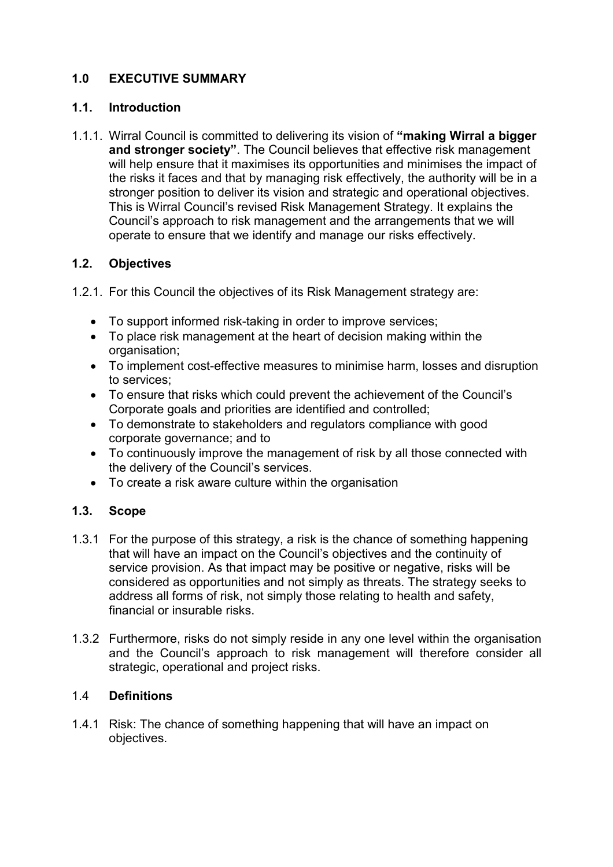## **1.0 EXECUTIVE SUMMARY**

#### **1.1. Introduction**

1.1.1. Wirral Council is committed to delivering its vision of **"making Wirral a bigger and stronger society"**. The Council believes that effective risk management will help ensure that it maximises its opportunities and minimises the impact of the risks it faces and that by managing risk effectively, the authority will be in a stronger position to deliver its vision and strategic and operational objectives. This is Wirral Council's revised Risk Management Strategy. It explains the Council's approach to risk management and the arrangements that we will operate to ensure that we identify and manage our risks effectively.

#### **1.2. Objectives**

- 1.2.1. For this Council the objectives of its Risk Management strategy are:
	- To support informed risk-taking in order to improve services;
	- To place risk management at the heart of decision making within the organisation;
	- To implement cost-effective measures to minimise harm, losses and disruption to services;
	- To ensure that risks which could prevent the achievement of the Council's Corporate goals and priorities are identified and controlled;
	- To demonstrate to stakeholders and regulators compliance with good corporate governance; and to
	- To continuously improve the management of risk by all those connected with the delivery of the Council's services.
	- To create a risk aware culture within the organisation

### **1.3. Scope**

- 1.3.1 For the purpose of this strategy, a risk is the chance of something happening that will have an impact on the Council's objectives and the continuity of service provision. As that impact may be positive or negative, risks will be considered as opportunities and not simply as threats. The strategy seeks to address all forms of risk, not simply those relating to health and safety, financial or insurable risks.
- 1.3.2 Furthermore, risks do not simply reside in any one level within the organisation and the Council's approach to risk management will therefore consider all strategic, operational and project risks.

#### 1.4 **Definitions**

1.4.1 Risk: The chance of something happening that will have an impact on objectives.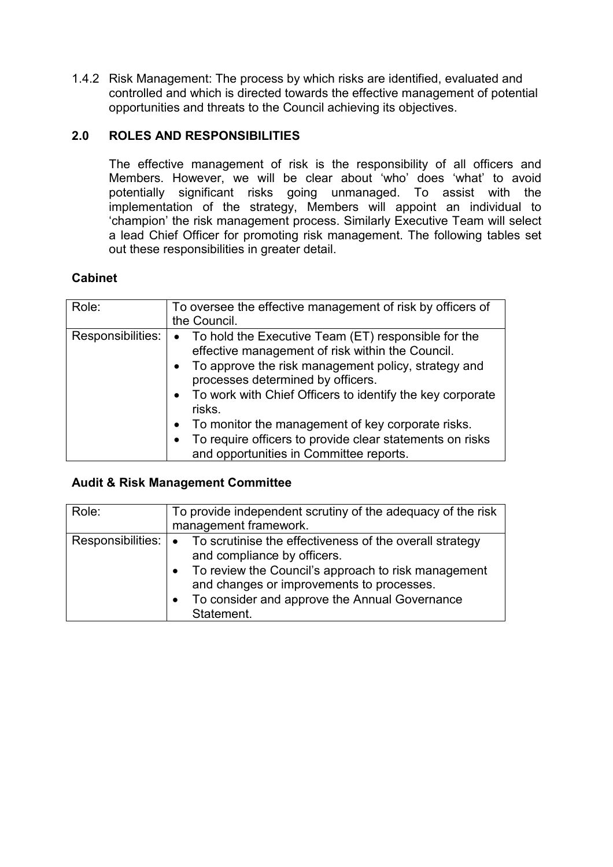1.4.2 Risk Management: The process by which risks are identified, evaluated and controlled and which is directed towards the effective management of potential opportunities and threats to the Council achieving its objectives.

### **2.0 ROLES AND RESPONSIBILITIES**

The effective management of risk is the responsibility of all officers and Members. However, we will be clear about 'who' does 'what' to avoid potentially significant risks going unmanaged. To assist with the implementation of the strategy, Members will appoint an individual to 'champion' the risk management process. Similarly Executive Team will select a lead Chief Officer for promoting risk management. The following tables set out these responsibilities in greater detail.

### **Cabinet**

| Role:             | To oversee the effective management of risk by officers of<br>the Council.                                                                                                                                                                                                                                                                                                                                                                     |
|-------------------|------------------------------------------------------------------------------------------------------------------------------------------------------------------------------------------------------------------------------------------------------------------------------------------------------------------------------------------------------------------------------------------------------------------------------------------------|
| Responsibilities: | • To hold the Executive Team (ET) responsible for the<br>effective management of risk within the Council.<br>• To approve the risk management policy, strategy and<br>processes determined by officers.<br>• To work with Chief Officers to identify the key corporate<br>risks.<br>• To monitor the management of key corporate risks.<br>To require officers to provide clear statements on risks<br>and opportunities in Committee reports. |

### **Audit & Risk Management Committee**

| Role:                     | To provide independent scrutiny of the adequacy of the risk<br>management framework.                                                                                                                                                                        |
|---------------------------|-------------------------------------------------------------------------------------------------------------------------------------------------------------------------------------------------------------------------------------------------------------|
| Responsibilities: $\cdot$ | To scrutinise the effectiveness of the overall strategy<br>and compliance by officers.<br>• To review the Council's approach to risk management<br>and changes or improvements to processes.<br>To consider and approve the Annual Governance<br>Statement. |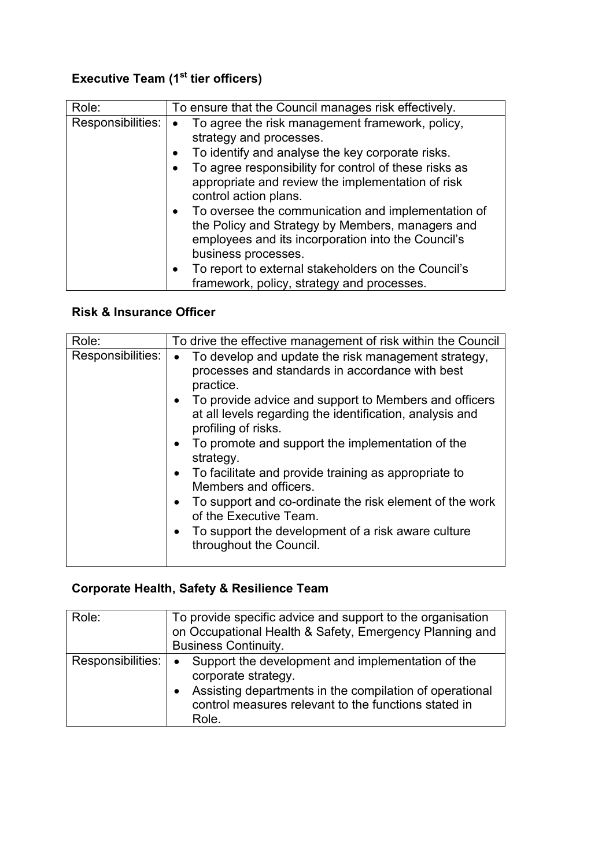# **Executive Team (1st tier officers)**

| Role:             | To ensure that the Council manages risk effectively.                                                                                                                                                                                                                                                                                                                                                                                                                                                                                          |
|-------------------|-----------------------------------------------------------------------------------------------------------------------------------------------------------------------------------------------------------------------------------------------------------------------------------------------------------------------------------------------------------------------------------------------------------------------------------------------------------------------------------------------------------------------------------------------|
| Responsibilities: | To agree the risk management framework, policy,<br>strategy and processes.<br>To identify and analyse the key corporate risks.<br>To agree responsibility for control of these risks as<br>appropriate and review the implementation of risk<br>control action plans.<br>To oversee the communication and implementation of<br>$\bullet$<br>the Policy and Strategy by Members, managers and<br>employees and its incorporation into the Council's<br>business processes.<br>To report to external stakeholders on the Council's<br>$\bullet$ |
|                   | framework, policy, strategy and processes.                                                                                                                                                                                                                                                                                                                                                                                                                                                                                                    |

# **Risk & Insurance Officer**

| Role:             | To drive the effective management of risk within the Council                                                                                                                                                                                                                                                                                                                                                                                                                                                                                                                                    |  |  |
|-------------------|-------------------------------------------------------------------------------------------------------------------------------------------------------------------------------------------------------------------------------------------------------------------------------------------------------------------------------------------------------------------------------------------------------------------------------------------------------------------------------------------------------------------------------------------------------------------------------------------------|--|--|
| Responsibilities: | • To develop and update the risk management strategy,<br>processes and standards in accordance with best<br>practice.<br>• To provide advice and support to Members and officers<br>at all levels regarding the identification, analysis and<br>profiling of risks.<br>To promote and support the implementation of the<br>strategy.<br>• To facilitate and provide training as appropriate to<br>Members and officers.<br>• To support and co-ordinate the risk element of the work<br>of the Executive Team.<br>To support the development of a risk aware culture<br>throughout the Council. |  |  |
|                   |                                                                                                                                                                                                                                                                                                                                                                                                                                                                                                                                                                                                 |  |  |

# **Corporate Health, Safety & Resilience Team**

| Role:             | To provide specific advice and support to the organisation<br>on Occupational Health & Safety, Emergency Planning and<br><b>Business Continuity.</b>                                                              |  |
|-------------------|-------------------------------------------------------------------------------------------------------------------------------------------------------------------------------------------------------------------|--|
| Responsibilities: | Support the development and implementation of the<br>$\bullet$<br>corporate strategy.<br>Assisting departments in the compilation of operational<br>control measures relevant to the functions stated in<br>Role. |  |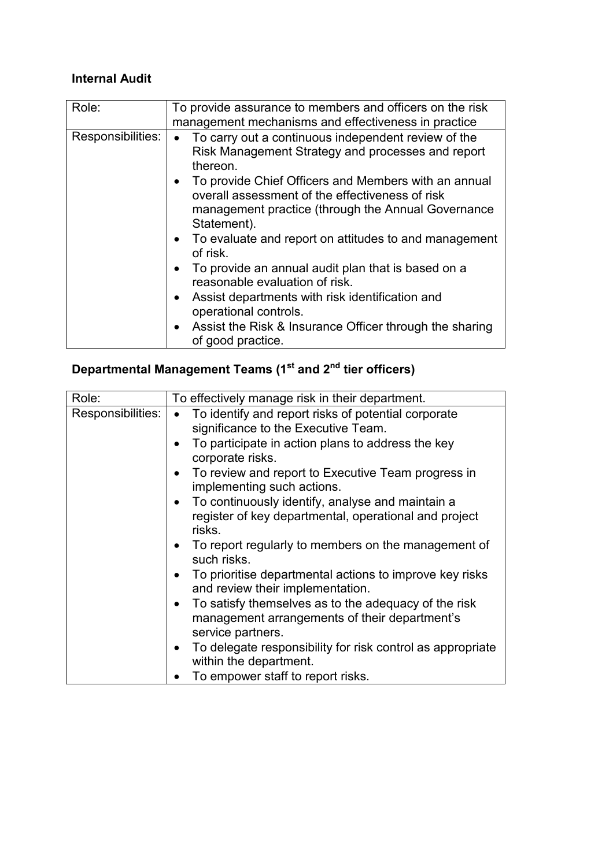# **Internal Audit**

| Role:             | To provide assurance to members and officers on the risk<br>management mechanisms and effectiveness in practice                                                                                                                                                                                                                                                                                                                                                                                                                                                                                                                     |
|-------------------|-------------------------------------------------------------------------------------------------------------------------------------------------------------------------------------------------------------------------------------------------------------------------------------------------------------------------------------------------------------------------------------------------------------------------------------------------------------------------------------------------------------------------------------------------------------------------------------------------------------------------------------|
| Responsibilities: | To carry out a continuous independent review of the<br>Risk Management Strategy and processes and report<br>thereon.<br>• To provide Chief Officers and Members with an annual<br>overall assessment of the effectiveness of risk<br>management practice (through the Annual Governance<br>Statement).<br>• To evaluate and report on attitudes to and management<br>of risk.<br>To provide an annual audit plan that is based on a<br>reasonable evaluation of risk.<br>Assist departments with risk identification and<br>operational controls.<br>• Assist the Risk & Insurance Officer through the sharing<br>of good practice. |

# **Departmental Management Teams (1st and 2nd tier officers)**

| Role:             | To effectively manage risk in their department.                                                                            |  |  |
|-------------------|----------------------------------------------------------------------------------------------------------------------------|--|--|
| Responsibilities: | To identify and report risks of potential corporate<br>$\bullet$<br>significance to the Executive Team.                    |  |  |
|                   | To participate in action plans to address the key<br>corporate risks.                                                      |  |  |
|                   | To review and report to Executive Team progress in<br>implementing such actions.                                           |  |  |
|                   | To continuously identify, analyse and maintain a<br>register of key departmental, operational and project<br>risks.        |  |  |
|                   | To report regularly to members on the management of<br>such risks.                                                         |  |  |
|                   | To prioritise departmental actions to improve key risks<br>and review their implementation.                                |  |  |
|                   | To satisfy themselves as to the adequacy of the risk<br>management arrangements of their department's<br>service partners. |  |  |
|                   | To delegate responsibility for risk control as appropriate<br>within the department.                                       |  |  |
|                   | To empower staff to report risks.                                                                                          |  |  |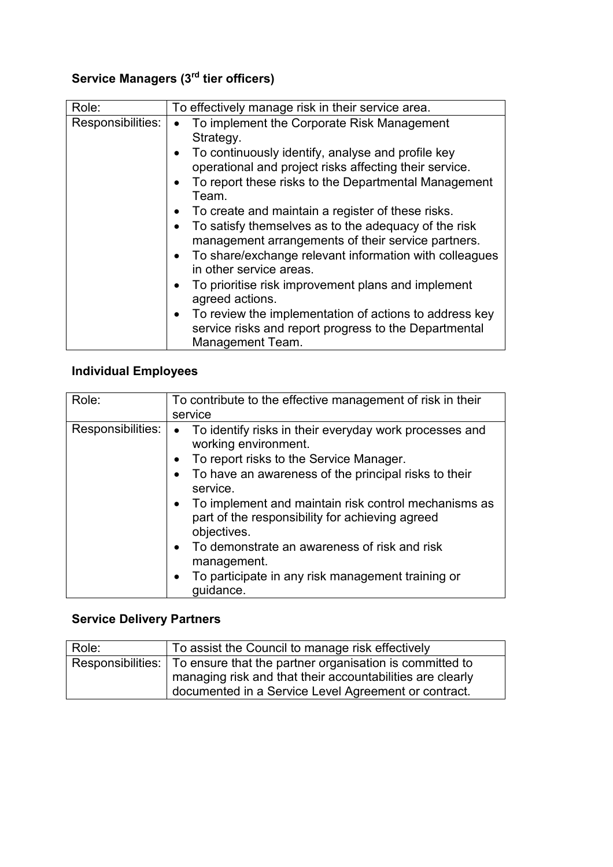# **Service Managers (3rd tier officers)**

| Role:             | To effectively manage risk in their service area.                                                                                                                                                                                                                                                                                                                                                                                                                                                                                                                                                                                                                                                               |  |  |
|-------------------|-----------------------------------------------------------------------------------------------------------------------------------------------------------------------------------------------------------------------------------------------------------------------------------------------------------------------------------------------------------------------------------------------------------------------------------------------------------------------------------------------------------------------------------------------------------------------------------------------------------------------------------------------------------------------------------------------------------------|--|--|
| Responsibilities: | To implement the Corporate Risk Management<br>Strategy.<br>To continuously identify, analyse and profile key<br>operational and project risks affecting their service.<br>To report these risks to the Departmental Management<br>Team.<br>To create and maintain a register of these risks.<br>To satisfy themselves as to the adequacy of the risk<br>management arrangements of their service partners.<br>To share/exchange relevant information with colleagues<br>in other service areas.<br>To prioritise risk improvement plans and implement<br>agreed actions.<br>To review the implementation of actions to address key<br>service risks and report progress to the Departmental<br>Management Team. |  |  |

# **Individual Employees**

| Role:             | To contribute to the effective management of risk in their<br>service                                                                                                                                                                                                                                                                                                                                                                                      |  |
|-------------------|------------------------------------------------------------------------------------------------------------------------------------------------------------------------------------------------------------------------------------------------------------------------------------------------------------------------------------------------------------------------------------------------------------------------------------------------------------|--|
| Responsibilities: | To identify risks in their everyday work processes and<br>working environment.<br>To report risks to the Service Manager.<br>To have an awareness of the principal risks to their<br>service.<br>To implement and maintain risk control mechanisms as<br>part of the responsibility for achieving agreed<br>objectives.<br>• To demonstrate an awareness of risk and risk<br>management.<br>To participate in any risk management training or<br>quidance. |  |

# **Service Delivery Partners**

| Role: | To assist the Council to manage risk effectively                          |  |
|-------|---------------------------------------------------------------------------|--|
|       | Responsibilities: To ensure that the partner organisation is committed to |  |
|       | managing risk and that their accountabilities are clearly                 |  |
|       | documented in a Service Level Agreement or contract.                      |  |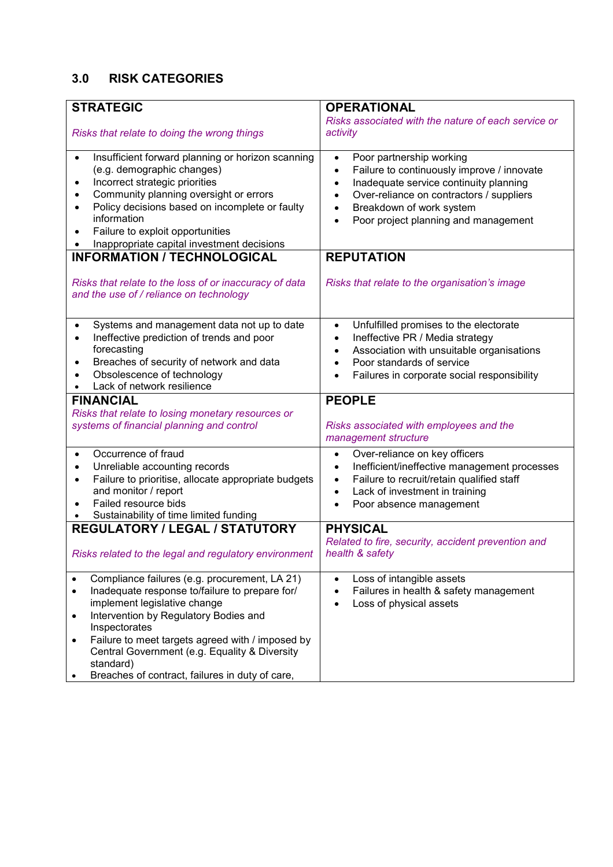# **3.0 RISK CATEGORIES**

| <b>STRATEGIC</b>                                                                                                                                                                                                                                                                                                                                                                                              | <b>OPERATIONAL</b>                                                                                                                                                                                                                                                                           |  |
|---------------------------------------------------------------------------------------------------------------------------------------------------------------------------------------------------------------------------------------------------------------------------------------------------------------------------------------------------------------------------------------------------------------|----------------------------------------------------------------------------------------------------------------------------------------------------------------------------------------------------------------------------------------------------------------------------------------------|--|
|                                                                                                                                                                                                                                                                                                                                                                                                               | Risks associated with the nature of each service or                                                                                                                                                                                                                                          |  |
| Risks that relate to doing the wrong things                                                                                                                                                                                                                                                                                                                                                                   | activity                                                                                                                                                                                                                                                                                     |  |
| Insufficient forward planning or horizon scanning<br>$\bullet$<br>(e.g. demographic changes)<br>Incorrect strategic priorities<br>$\bullet$<br>Community planning oversight or errors<br>٠<br>Policy decisions based on incomplete or faulty<br>$\bullet$<br>information<br>Failure to exploit opportunities<br>$\bullet$<br>Inappropriate capital investment decisions<br><b>INFORMATION / TECHNOLOGICAL</b> | Poor partnership working<br>$\bullet$<br>Failure to continuously improve / innovate<br>$\bullet$<br>Inadequate service continuity planning<br>$\bullet$<br>Over-reliance on contractors / suppliers<br>Breakdown of work system<br>Poor project planning and management<br><b>REPUTATION</b> |  |
|                                                                                                                                                                                                                                                                                                                                                                                                               |                                                                                                                                                                                                                                                                                              |  |
| Risks that relate to the loss of or inaccuracy of data<br>and the use of / reliance on technology                                                                                                                                                                                                                                                                                                             | Risks that relate to the organisation's image                                                                                                                                                                                                                                                |  |
| Systems and management data not up to date<br>$\bullet$<br>Ineffective prediction of trends and poor<br>$\bullet$                                                                                                                                                                                                                                                                                             | Unfulfilled promises to the electorate<br>$\bullet$<br>Ineffective PR / Media strategy<br>$\bullet$                                                                                                                                                                                          |  |
| forecasting                                                                                                                                                                                                                                                                                                                                                                                                   | Association with unsuitable organisations                                                                                                                                                                                                                                                    |  |
| Breaches of security of network and data<br>$\bullet$                                                                                                                                                                                                                                                                                                                                                         | Poor standards of service<br>$\bullet$                                                                                                                                                                                                                                                       |  |
| Obsolescence of technology<br>Lack of network resilience                                                                                                                                                                                                                                                                                                                                                      | Failures in corporate social responsibility<br>$\bullet$                                                                                                                                                                                                                                     |  |
| <b>FINANCIAL</b>                                                                                                                                                                                                                                                                                                                                                                                              | <b>PEOPLE</b>                                                                                                                                                                                                                                                                                |  |
| Risks that relate to losing monetary resources or                                                                                                                                                                                                                                                                                                                                                             |                                                                                                                                                                                                                                                                                              |  |
| systems of financial planning and control                                                                                                                                                                                                                                                                                                                                                                     | Risks associated with employees and the<br>management structure                                                                                                                                                                                                                              |  |
| Occurrence of fraud<br>$\bullet$                                                                                                                                                                                                                                                                                                                                                                              | Over-reliance on key officers<br>$\bullet$                                                                                                                                                                                                                                                   |  |
| Unreliable accounting records<br>$\bullet$                                                                                                                                                                                                                                                                                                                                                                    | Inefficient/ineffective management processes<br>٠                                                                                                                                                                                                                                            |  |
| Failure to prioritise, allocate appropriate budgets<br>$\bullet$<br>and monitor / report                                                                                                                                                                                                                                                                                                                      | Failure to recruit/retain qualified staff<br>$\bullet$<br>Lack of investment in training                                                                                                                                                                                                     |  |
| Failed resource bids                                                                                                                                                                                                                                                                                                                                                                                          | Poor absence management                                                                                                                                                                                                                                                                      |  |
| Sustainability of time limited funding                                                                                                                                                                                                                                                                                                                                                                        |                                                                                                                                                                                                                                                                                              |  |
| <b>REGULATORY / LEGAL / STATUTORY</b>                                                                                                                                                                                                                                                                                                                                                                         | <b>PHYSICAL</b>                                                                                                                                                                                                                                                                              |  |
| Risks related to the legal and regulatory environment                                                                                                                                                                                                                                                                                                                                                         | Related to fire, security, accident prevention and<br>health & safety                                                                                                                                                                                                                        |  |
| Compliance failures (e.g. procurement, LA 21)                                                                                                                                                                                                                                                                                                                                                                 | Loss of intangible assets                                                                                                                                                                                                                                                                    |  |
| Inadequate response to/failure to prepare for/<br>$\bullet$<br>implement legislative change                                                                                                                                                                                                                                                                                                                   | Failures in health & safety management<br>Loss of physical assets                                                                                                                                                                                                                            |  |
| Intervention by Regulatory Bodies and<br>٠<br>Inspectorates                                                                                                                                                                                                                                                                                                                                                   |                                                                                                                                                                                                                                                                                              |  |
| Failure to meet targets agreed with / imposed by<br>$\bullet$                                                                                                                                                                                                                                                                                                                                                 |                                                                                                                                                                                                                                                                                              |  |
| Central Government (e.g. Equality & Diversity<br>standard)                                                                                                                                                                                                                                                                                                                                                    |                                                                                                                                                                                                                                                                                              |  |
| Breaches of contract, failures in duty of care,                                                                                                                                                                                                                                                                                                                                                               |                                                                                                                                                                                                                                                                                              |  |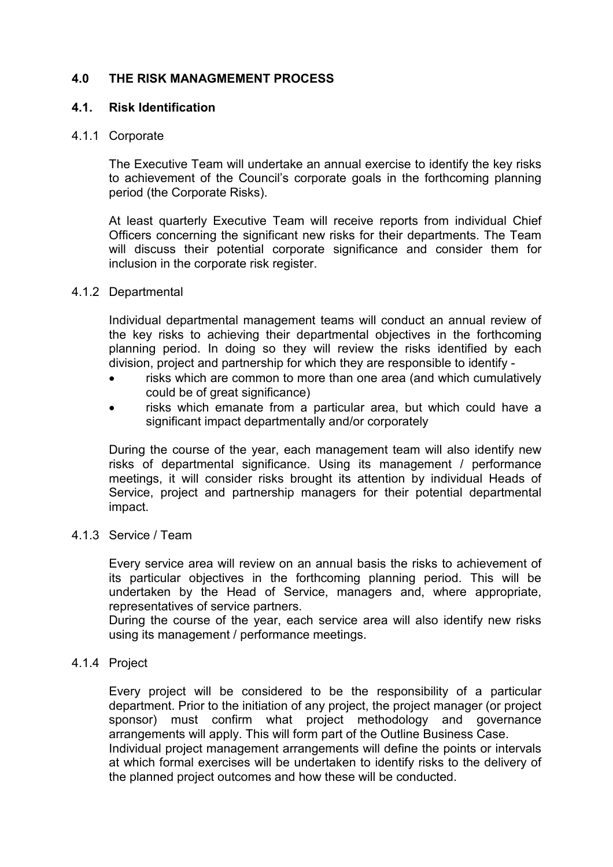### **4.0 THE RISK MANAGMEMENT PROCESS**

#### **4.1. Risk Identification**

#### 4.1.1 Corporate

The Executive Team will undertake an annual exercise to identify the key risks to achievement of the Council's corporate goals in the forthcoming planning period (the Corporate Risks).

At least quarterly Executive Team will receive reports from individual Chief Officers concerning the significant new risks for their departments. The Team will discuss their potential corporate significance and consider them for inclusion in the corporate risk register.

#### 4.1.2 Departmental

Individual departmental management teams will conduct an annual review of the key risks to achieving their departmental objectives in the forthcoming planning period. In doing so they will review the risks identified by each division, project and partnership for which they are responsible to identify -

- risks which are common to more than one area (and which cumulatively could be of great significance)
- risks which emanate from a particular area, but which could have a significant impact departmentally and/or corporately

During the course of the year, each management team will also identify new risks of departmental significance. Using its management / performance meetings, it will consider risks brought its attention by individual Heads of Service, project and partnership managers for their potential departmental impact.

4.1.3 Service / Team

Every service area will review on an annual basis the risks to achievement of its particular objectives in the forthcoming planning period. This will be undertaken by the Head of Service, managers and, where appropriate, representatives of service partners.

During the course of the year, each service area will also identify new risks using its management / performance meetings.

#### 4.1.4 Project

Every project will be considered to be the responsibility of a particular department. Prior to the initiation of any project, the project manager (or project sponsor) must confirm what project methodology and governance arrangements will apply. This will form part of the Outline Business Case.

Individual project management arrangements will define the points or intervals at which formal exercises will be undertaken to identify risks to the delivery of the planned project outcomes and how these will be conducted.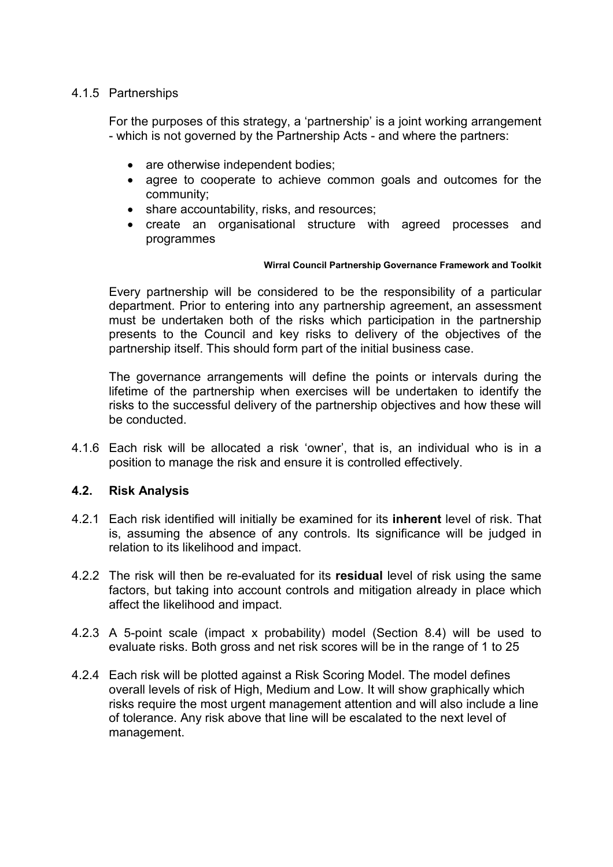#### 4.1.5 Partnerships

For the purposes of this strategy, a 'partnership' is a joint working arrangement - which is not governed by the Partnership Acts - and where the partners:

- are otherwise independent bodies;
- agree to cooperate to achieve common goals and outcomes for the community;
- share accountability, risks, and resources;
- create an organisational structure with agreed processes and programmes

#### **Wirral Council Partnership Governance Framework and Toolkit**

Every partnership will be considered to be the responsibility of a particular department. Prior to entering into any partnership agreement, an assessment must be undertaken both of the risks which participation in the partnership presents to the Council and key risks to delivery of the objectives of the partnership itself. This should form part of the initial business case.

The governance arrangements will define the points or intervals during the lifetime of the partnership when exercises will be undertaken to identify the risks to the successful delivery of the partnership objectives and how these will be conducted.

4.1.6 Each risk will be allocated a risk 'owner', that is, an individual who is in a position to manage the risk and ensure it is controlled effectively.

#### **4.2. Risk Analysis**

- 4.2.1 Each risk identified will initially be examined for its **inherent** level of risk. That is, assuming the absence of any controls. Its significance will be judged in relation to its likelihood and impact.
- 4.2.2 The risk will then be re-evaluated for its **residual** level of risk using the same factors, but taking into account controls and mitigation already in place which affect the likelihood and impact.
- 4.2.3 A 5-point scale (impact x probability) model (Section 8.4) will be used to evaluate risks. Both gross and net risk scores will be in the range of 1 to 25
- 4.2.4 Each risk will be plotted against a Risk Scoring Model. The model defines overall levels of risk of High, Medium and Low. It will show graphically which risks require the most urgent management attention and will also include a line of tolerance. Any risk above that line will be escalated to the next level of management.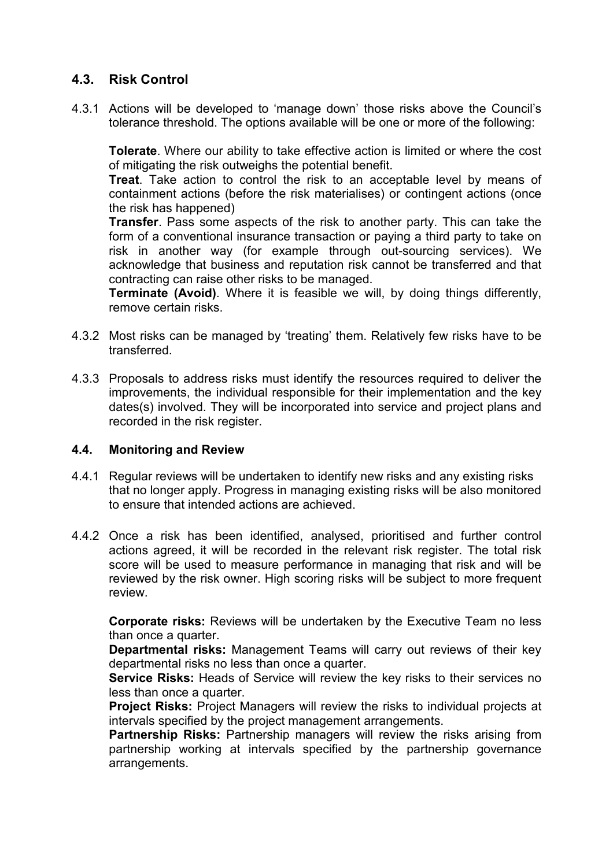# **4.3. Risk Control**

4.3.1 Actions will be developed to 'manage down' those risks above the Council's tolerance threshold. The options available will be one or more of the following:

**Tolerate**. Where our ability to take effective action is limited or where the cost of mitigating the risk outweighs the potential benefit.

**Treat**. Take action to control the risk to an acceptable level by means of containment actions (before the risk materialises) or contingent actions (once the risk has happened)

**Transfer**. Pass some aspects of the risk to another party. This can take the form of a conventional insurance transaction or paying a third party to take on risk in another way (for example through out-sourcing services). We acknowledge that business and reputation risk cannot be transferred and that contracting can raise other risks to be managed.

**Terminate (Avoid)**. Where it is feasible we will, by doing things differently, remove certain risks.

- 4.3.2 Most risks can be managed by 'treating' them. Relatively few risks have to be transferred.
- 4.3.3 Proposals to address risks must identify the resources required to deliver the improvements, the individual responsible for their implementation and the key dates(s) involved. They will be incorporated into service and project plans and recorded in the risk register.

### **4.4. Monitoring and Review**

- 4.4.1 Regular reviews will be undertaken to identify new risks and any existing risks that no longer apply. Progress in managing existing risks will be also monitored to ensure that intended actions are achieved.
- 4.4.2 Once a risk has been identified, analysed, prioritised and further control actions agreed, it will be recorded in the relevant risk register. The total risk score will be used to measure performance in managing that risk and will be reviewed by the risk owner. High scoring risks will be subject to more frequent review.

**Corporate risks:** Reviews will be undertaken by the Executive Team no less than once a quarter.

**Departmental risks:** Management Teams will carry out reviews of their key departmental risks no less than once a quarter.

**Service Risks:** Heads of Service will review the key risks to their services no less than once a quarter.

**Project Risks:** Project Managers will review the risks to individual projects at intervals specified by the project management arrangements.

**Partnership Risks:** Partnership managers will review the risks arising from partnership working at intervals specified by the partnership governance arrangements.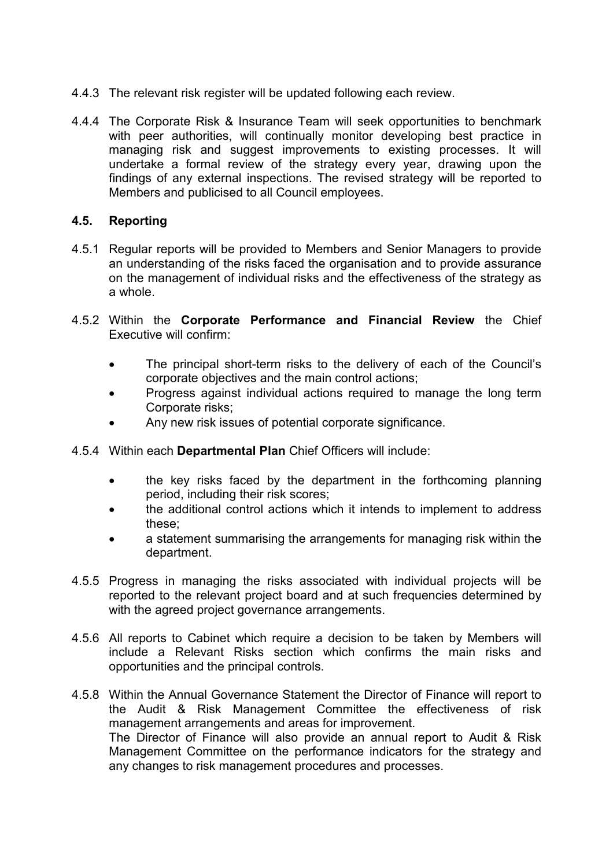- 4.4.3 The relevant risk register will be updated following each review.
- 4.4.4 The Corporate Risk & Insurance Team will seek opportunities to benchmark with peer authorities, will continually monitor developing best practice in managing risk and suggest improvements to existing processes. It will undertake a formal review of the strategy every year, drawing upon the findings of any external inspections. The revised strategy will be reported to Members and publicised to all Council employees.

#### **4.5. Reporting**

- 4.5.1 Regular reports will be provided to Members and Senior Managers to provide an understanding of the risks faced the organisation and to provide assurance on the management of individual risks and the effectiveness of the strategy as a whole.
- 4.5.2 Within the **Corporate Performance and Financial Review** the Chief Executive will confirm:
	- The principal short-term risks to the delivery of each of the Council's corporate objectives and the main control actions;
	- Progress against individual actions required to manage the long term Corporate risks;
	- Any new risk issues of potential corporate significance.
- 4.5.4 Within each **Departmental Plan** Chief Officers will include:
	- the key risks faced by the department in the forthcoming planning period, including their risk scores;
	- the additional control actions which it intends to implement to address these;
	- a statement summarising the arrangements for managing risk within the department.
- 4.5.5 Progress in managing the risks associated with individual projects will be reported to the relevant project board and at such frequencies determined by with the agreed project governance arrangements.
- 4.5.6 All reports to Cabinet which require a decision to be taken by Members will include a Relevant Risks section which confirms the main risks and opportunities and the principal controls.
- 4.5.8 Within the Annual Governance Statement the Director of Finance will report to the Audit & Risk Management Committee the effectiveness of risk management arrangements and areas for improvement. The Director of Finance will also provide an annual report to Audit & Risk Management Committee on the performance indicators for the strategy and any changes to risk management procedures and processes.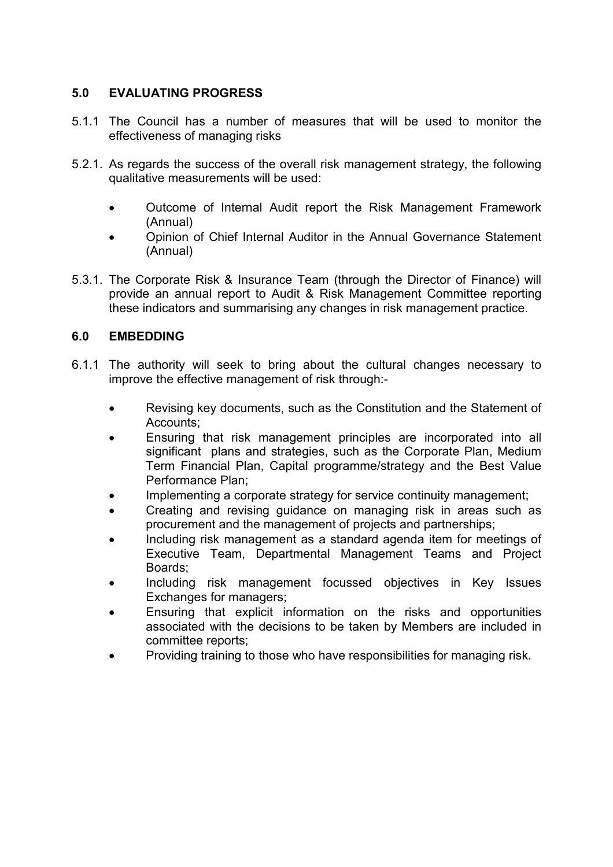### **5.0 EVALUATING PROGRESS**

- 5.1.1 The Council has a number of measures that will be used to monitor the effectiveness of managing risks
- 5.2.1. As regards the success of the overall risk management strategy, the following qualitative measurements will be used:
	- Outcome of Internal Audit report the Risk Management Framework (Annual)
	- Opinion of Chief Internal Auditor in the Annual Governance Statement (Annual)
- 5.3.1. The Corporate Risk & Insurance Team (through the Director of Finance) will provide an annual report to Audit & Risk Management Committee reporting these indicators and summarising any changes in risk management practice.

#### **6.0 EMBEDDING**

- 6.1.1 The authority will seek to bring about the cultural changes necessary to improve the effective management of risk through:-
	- Revising key documents, such as the Constitution and the Statement of Accounts;
	- Ensuring that risk management principles are incorporated into all significant plans and strategies, such as the Corporate Plan, Medium Term Financial Plan, Capital programme/strategy and the Best Value Performance Plan;
	- Implementing a corporate strategy for service continuity management;
	- Creating and revising guidance on managing risk in areas such as procurement and the management of projects and partnerships;
	- Including risk management as a standard agenda item for meetings of Executive Team, Departmental Management Teams and Project Boards;
	- Including risk management focussed objectives in Key Issues Exchanges for managers;
	- Ensuring that explicit information on the risks and opportunities associated with the decisions to be taken by Members are included in committee reports;
	- Providing training to those who have responsibilities for managing risk.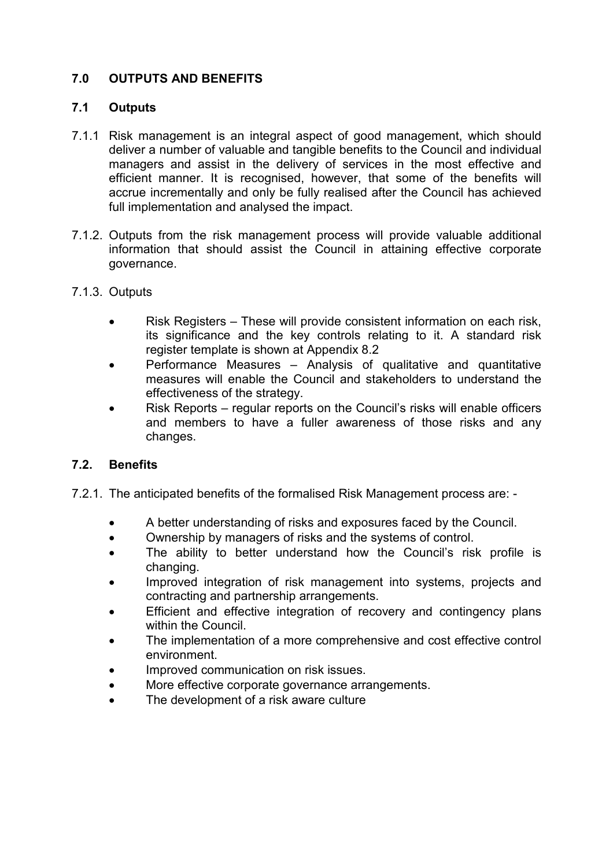## **7.0 OUTPUTS AND BENEFITS**

#### **7.1 Outputs**

- 7.1.1 Risk management is an integral aspect of good management, which should deliver a number of valuable and tangible benefits to the Council and individual managers and assist in the delivery of services in the most effective and efficient manner. It is recognised, however, that some of the benefits will accrue incrementally and only be fully realised after the Council has achieved full implementation and analysed the impact.
- 7.1.2. Outputs from the risk management process will provide valuable additional information that should assist the Council in attaining effective corporate governance.
- 7.1.3. Outputs
	- Risk Registers These will provide consistent information on each risk, its significance and the key controls relating to it. A standard risk register template is shown at Appendix 8.2
	- Performance Measures Analysis of qualitative and quantitative measures will enable the Council and stakeholders to understand the effectiveness of the strategy.
	- Risk Reports regular reports on the Council's risks will enable officers and members to have a fuller awareness of those risks and any changes.

### **7.2. Benefits**

- 7.2.1. The anticipated benefits of the formalised Risk Management process are:
	- A better understanding of risks and exposures faced by the Council.
	- Ownership by managers of risks and the systems of control.
	- The ability to better understand how the Council's risk profile is changing.
	- Improved integration of risk management into systems, projects and contracting and partnership arrangements.
	- Efficient and effective integration of recovery and contingency plans within the Council.
	- The implementation of a more comprehensive and cost effective control environment.
	- Improved communication on risk issues.
	- More effective corporate governance arrangements.
	- The development of a risk aware culture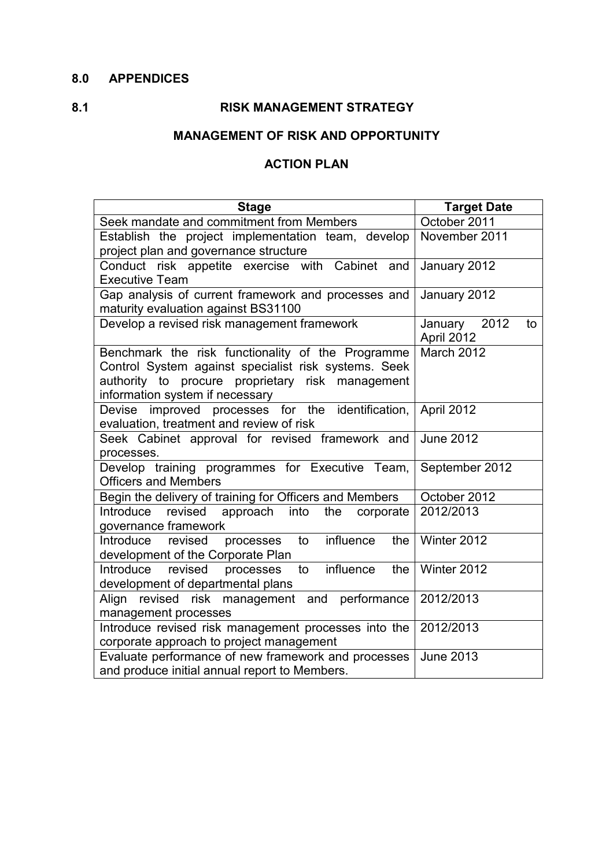## **8.0 APPENDICES**

# **8.1 RISK MANAGEMENT STRATEGY**

# **MANAGEMENT OF RISK AND OPPORTUNITY**

#### **ACTION PLAN**

| <b>Stage</b>                                                                                                                                                                                     | <b>Target Date</b>               |
|--------------------------------------------------------------------------------------------------------------------------------------------------------------------------------------------------|----------------------------------|
| Seek mandate and commitment from Members                                                                                                                                                         | October 2011                     |
| Establish the project implementation team, develop<br>project plan and governance structure                                                                                                      | November 2011                    |
| Conduct risk appetite exercise with Cabinet and<br><b>Executive Team</b>                                                                                                                         | January 2012                     |
| Gap analysis of current framework and processes and<br>maturity evaluation against BS31100                                                                                                       | January 2012                     |
| Develop a revised risk management framework                                                                                                                                                      | January 2012<br>to<br>April 2012 |
| Benchmark the risk functionality of the Programme<br>Control System against specialist risk systems. Seek<br>authority to procure proprietary risk management<br>information system if necessary | March 2012                       |
| Devise improved processes for the identification,<br>evaluation, treatment and review of risk                                                                                                    | April 2012                       |
| Seek Cabinet approval for revised framework and<br>processes.                                                                                                                                    | <b>June 2012</b>                 |
| Develop training programmes for Executive Team,<br><b>Officers and Members</b>                                                                                                                   | September 2012                   |
| Begin the delivery of training for Officers and Members                                                                                                                                          | October 2012                     |
| Introduce revised<br>approach into the<br>corporate<br>governance framework                                                                                                                      | 2012/2013                        |
| influence<br>Introduce<br>revised<br>the<br>processes<br>to<br>development of the Corporate Plan                                                                                                 | Winter 2012                      |
| to influence<br>Introduce revised<br>the<br>processes<br>development of departmental plans                                                                                                       | Winter 2012                      |
| Align revised risk management and performance<br>management processes                                                                                                                            | 2012/2013                        |
| Introduce revised risk management processes into the<br>corporate approach to project management                                                                                                 | 2012/2013                        |
| Evaluate performance of new framework and processes<br>and produce initial annual report to Members.                                                                                             | <b>June 2013</b>                 |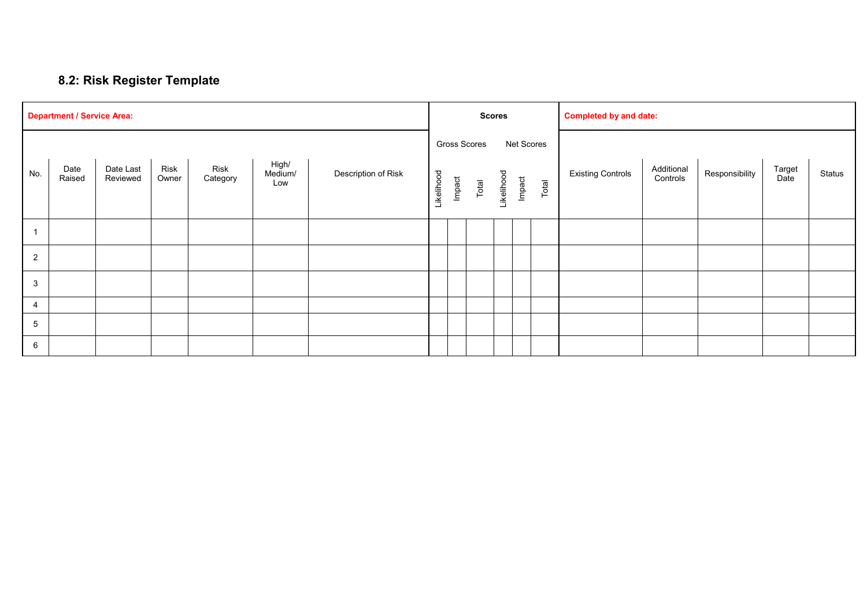# **8.2: Risk Register Template**

| <b>Department / Service Area:</b> |                |                       |               |                  |                         |                     |            | <b>Scores</b> |                       |            |        | <b>Completed by and date:</b> |                          |                        |                |                |        |
|-----------------------------------|----------------|-----------------------|---------------|------------------|-------------------------|---------------------|------------|---------------|-----------------------|------------|--------|-------------------------------|--------------------------|------------------------|----------------|----------------|--------|
| No.                               | Date<br>Raised | Date Last<br>Reviewed | Risk<br>Owner | Risk<br>Category | High/<br>Medium/<br>Low | Description of Risk | Likelihood | Impact        | Gross Scores<br>Total | Likelihood | Impact | Net Scores<br>Total           | <b>Existing Controls</b> | Additional<br>Controls | Responsibility | Target<br>Date | Status |
|                                   |                |                       |               |                  |                         |                     |            |               |                       |            |        |                               |                          |                        |                |                |        |
| $\overline{2}$                    |                |                       |               |                  |                         |                     |            |               |                       |            |        |                               |                          |                        |                |                |        |
| $\mathbf{3}$                      |                |                       |               |                  |                         |                     |            |               |                       |            |        |                               |                          |                        |                |                |        |
| 4                                 |                |                       |               |                  |                         |                     |            |               |                       |            |        |                               |                          |                        |                |                |        |
| $\overline{5}$                    |                |                       |               |                  |                         |                     |            |               |                       |            |        |                               |                          |                        |                |                |        |
| $6\phantom{.}6$                   |                |                       |               |                  |                         |                     |            |               |                       |            |        |                               |                          |                        |                |                |        |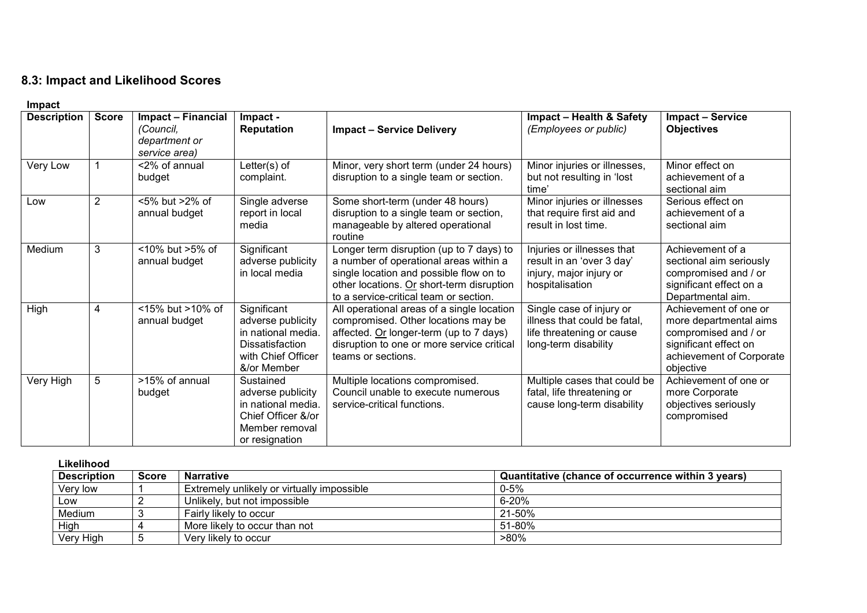## **8.3: Impact and Likelihood Scores**

| impact             |              |                                                                   |                                                                                                                       |                                                                                                                                                                                                                      |                                                                                                               |                                                                                                                                           |
|--------------------|--------------|-------------------------------------------------------------------|-----------------------------------------------------------------------------------------------------------------------|----------------------------------------------------------------------------------------------------------------------------------------------------------------------------------------------------------------------|---------------------------------------------------------------------------------------------------------------|-------------------------------------------------------------------------------------------------------------------------------------------|
| <b>Description</b> | <b>Score</b> | Impact - Financial<br>(Council,<br>department or<br>service area) | Impact -<br><b>Reputation</b>                                                                                         | <b>Impact - Service Delivery</b>                                                                                                                                                                                     | <b>Impact - Health &amp; Safety</b><br>(Employees or public)                                                  | <b>Impact - Service</b><br><b>Objectives</b>                                                                                              |
| Very Low           |              | <2% of annual<br>budget                                           | Letter(s) of<br>complaint.                                                                                            | Minor, very short term (under 24 hours)<br>disruption to a single team or section.                                                                                                                                   | Minor injuries or illnesses,<br>but not resulting in 'lost<br>time'                                           | Minor effect on<br>achievement of a<br>sectional aim                                                                                      |
| Low                | 2            | <5% but >2% of<br>annual budget                                   | Single adverse<br>report in local<br>media                                                                            | Some short-term (under 48 hours)<br>disruption to a single team or section,<br>manageable by altered operational<br>routine                                                                                          | Minor injuries or illnesses<br>that require first aid and<br>result in lost time.                             | Serious effect on<br>achievement of a<br>sectional aim                                                                                    |
| Medium             | 3            | <10% but >5% of<br>annual budget                                  | Significant<br>adverse publicity<br>in local media                                                                    | Longer term disruption (up to 7 days) to<br>a number of operational areas within a<br>single location and possible flow on to<br>other locations. Or short-term disruption<br>to a service-critical team or section. | Injuries or illnesses that<br>result in an 'over 3 day'<br>injury, major injury or<br>hospitalisation         | Achievement of a<br>sectional aim seriously<br>compromised and / or<br>significant effect on a<br>Departmental aim.                       |
| High               | 4            | <15% but >10% of<br>annual budget                                 | Significant<br>adverse publicity<br>in national media.<br><b>Dissatisfaction</b><br>with Chief Officer<br>&/or Member | All operational areas of a single location<br>compromised. Other locations may be<br>affected. Or longer-term (up to 7 days)<br>disruption to one or more service critical<br>teams or sections.                     | Single case of injury or<br>illness that could be fatal,<br>life threatening or cause<br>long-term disability | Achievement of one or<br>more departmental aims<br>compromised and / or<br>significant effect on<br>achievement of Corporate<br>objective |
| Very High          | 5            | >15% of annual<br>budget                                          | Sustained<br>adverse publicity<br>in national media.<br>Chief Officer &/or<br>Member removal<br>or resignation        | Multiple locations compromised.<br>Council unable to execute numerous<br>service-critical functions.                                                                                                                 | Multiple cases that could be<br>fatal, life threatening or<br>cause long-term disability                      | Achievement of one or<br>more Corporate<br>objectives seriously<br>compromised                                                            |

| Likelihood         |       |                                            |                                                    |  |  |  |  |
|--------------------|-------|--------------------------------------------|----------------------------------------------------|--|--|--|--|
| <b>Description</b> | Score | <b>Narrative</b>                           | Quantitative (chance of occurrence within 3 years) |  |  |  |  |
| Very low           |       | Extremely unlikely or virtually impossible | 0-5%                                               |  |  |  |  |
| Low                |       | Unlikely, but not impossible               | 6-20%                                              |  |  |  |  |
| Medium             |       | Fairly likely to occur                     | 21-50%                                             |  |  |  |  |
| High               |       | More likely to occur than not              | 51-80%                                             |  |  |  |  |
| Very High          |       | Very likely to occur                       | >80%                                               |  |  |  |  |

**Impact**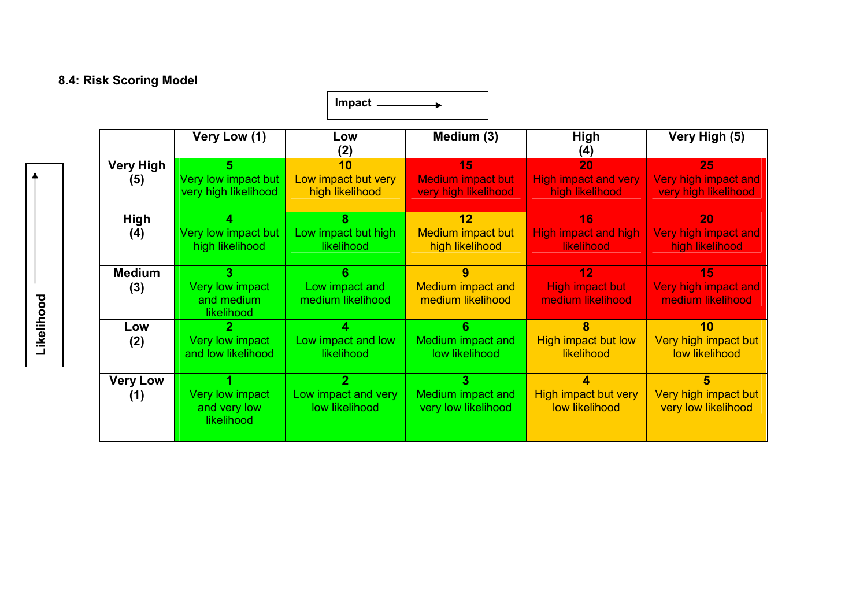# **8.4: Risk Scoring Model**

|                         |                                               | <b>Impact</b>                                |                                                        |                                                      |                                                    |
|-------------------------|-----------------------------------------------|----------------------------------------------|--------------------------------------------------------|------------------------------------------------------|----------------------------------------------------|
|                         | Very Low (1)                                  | Low<br>(2)                                   | Medium (3)                                             | <b>High</b><br>(4)                                   | Very High (5)                                      |
| <b>Very High</b><br>(5) | Very low impact but<br>very high likelihood   | 10<br>Low impact but very<br>high likelihood | 15<br><b>Medium impact but</b><br>very high likelihood | 20<br><b>High impact and very</b><br>high likelihood | 25<br>Very high impact and<br>very high likelihood |
| <b>High</b><br>(4)      | Very low impact but<br>high likelihood        | 8<br>Low impact but high<br>likelihood       | 12<br>Medium impact but<br>high likelihood             | 16<br><b>High impact and high</b><br>likelihood      | 20<br>Very high impact and<br>high likelihood      |
| <b>Medium</b><br>(3)    | Very low impact<br>and medium<br>likelihood   | 6<br>Low impact and<br>medium likelihood     | 9<br><b>Medium impact and</b><br>medium likelihood     | 12<br><b>High impact but</b><br>medium likelihood    | 15<br>Very high impact and<br>medium likelihood    |
| Low<br>(2)              | 2<br>Very low impact<br>and low likelihood    | Low impact and low<br>likelihood             | Medium impact and<br>low likelihood                    | 8<br><b>High impact but low</b><br>likelihood        | 10<br>Very high impact but<br>low likelihood       |
| <b>Very Low</b><br>(1)  | Very low impact<br>and very low<br>likelihood | 2<br>Low impact and very<br>low likelihood   | Medium impact and<br>very low likelihood               | High impact but very<br>low likelihood               | 5<br>Very high impact but<br>very low likelihood   |

Likelihood  **Likelihood**